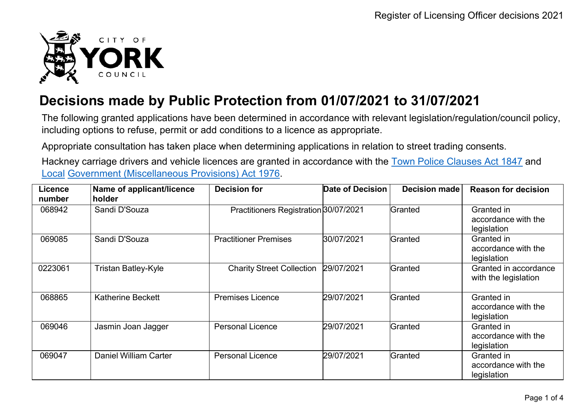

## **Decisions made by Public Protection from 01/07/2021 to 31/07/2021**

The following granted applications have been determined in accordance with relevant legislation/regulation/council policy, including options to refuse, permit or add conditions to a licence as appropriate.

Appropriate consultation has taken place when determining applications in relation to street trading consents.

Hackney carriage drivers and vehicle licences are granted in accordance with the Town Police [Clauses](http://www.legislation.gov.uk/ukpga/Vict/10-11/89) Act 1847 and [Local](http://www.legislation.gov.uk/ukpga/1976/57) [Government \(Miscellaneous Provisions\) Act 1976.](http://www.legislation.gov.uk/ukpga/1976/57)

| <b>Licence</b><br>number | Name of applicant/licence<br>holder | <b>Decision for</b>                   | Date of Decision | <b>Decision made</b> | <b>Reason for decision</b>                       |
|--------------------------|-------------------------------------|---------------------------------------|------------------|----------------------|--------------------------------------------------|
| 068942                   | Sandi D'Souza                       | Practitioners Registration 30/07/2021 |                  | Granted              | Granted in<br>accordance with the<br>legislation |
| 069085                   | Sandi D'Souza                       | <b>Practitioner Premises</b>          | 30/07/2021       | Granted              | Granted in<br>accordance with the<br>legislation |
| 0223061                  | <b>Tristan Batley-Kyle</b>          | <b>Charity Street Collection</b>      | 29/07/2021       | Granted              | Granted in accordance<br>with the legislation    |
| 068865                   | <b>Katherine Beckett</b>            | <b>Premises Licence</b>               | 29/07/2021       | Granted              | Granted in<br>accordance with the<br>legislation |
| 069046                   | Jasmin Joan Jagger                  | <b>Personal Licence</b>               | 29/07/2021       | Granted              | Granted in<br>accordance with the<br>legislation |
| 069047                   | Daniel William Carter               | <b>Personal Licence</b>               | 29/07/2021       | Granted              | Granted in<br>accordance with the<br>legislation |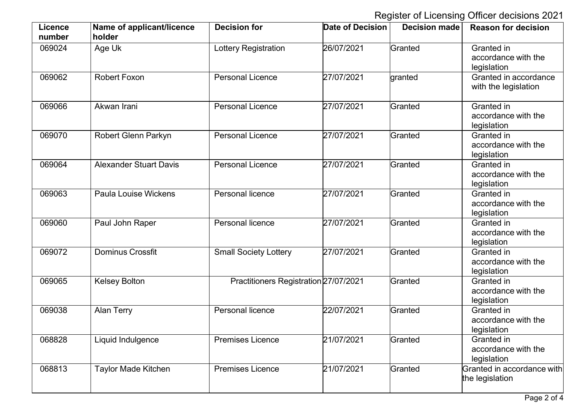Register of Licensing Officer decisions 2021

| <b>Licence</b><br>number | Name of applicant/licence<br>holder | <b>Decision for</b>                   | <b>Date of Decision</b> | <b>Decision made</b> | <b>Reason for decision</b>                       |
|--------------------------|-------------------------------------|---------------------------------------|-------------------------|----------------------|--------------------------------------------------|
| 069024                   | Age Uk                              | Lottery Registration                  | 26/07/2021              | Granted              | Granted in<br>accordance with the<br>legislation |
| 069062                   | <b>Robert Foxon</b>                 | <b>Personal Licence</b>               | 27/07/2021              | granted              | Granted in accordance<br>with the legislation    |
| 069066                   | Akwan Irani                         | <b>Personal Licence</b>               | 27/07/2021              | Granted              | Granted in<br>accordance with the<br>legislation |
| 069070                   | <b>Robert Glenn Parkyn</b>          | <b>Personal Licence</b>               | 27/07/2021              | Granted              | Granted in<br>accordance with the<br>legislation |
| 069064                   | <b>Alexander Stuart Davis</b>       | <b>Personal Licence</b>               | 27/07/2021              | Granted              | Granted in<br>accordance with the<br>legislation |
| 069063                   | <b>Paula Louise Wickens</b>         | Personal licence                      | 27/07/2021              | Granted              | Granted in<br>accordance with the<br>legislation |
| 069060                   | Paul John Raper                     | Personal licence                      | 27/07/2021              | Granted              | Granted in<br>accordance with the<br>legislation |
| 069072                   | <b>Dominus Crossfit</b>             | <b>Small Society Lottery</b>          | 27/07/2021              | Granted              | Granted in<br>accordance with the<br>legislation |
| 069065                   | <b>Kelsey Bolton</b>                | Practitioners Registration 27/07/2021 |                         | Granted              | Granted in<br>accordance with the<br>legislation |
| 069038                   | <b>Alan Terry</b>                   | Personal licence                      | 22/07/2021              | Granted              | Granted in<br>accordance with the<br>legislation |
| 068828                   | Liquid Indulgence                   | <b>Premises Licence</b>               | 21/07/2021              | Granted              | Granted in<br>accordance with the<br>legislation |
| 068813                   | <b>Taylor Made Kitchen</b>          | <b>Premises Licence</b>               | 21/07/2021              | Granted              | Granted in accordance with<br>the legislation    |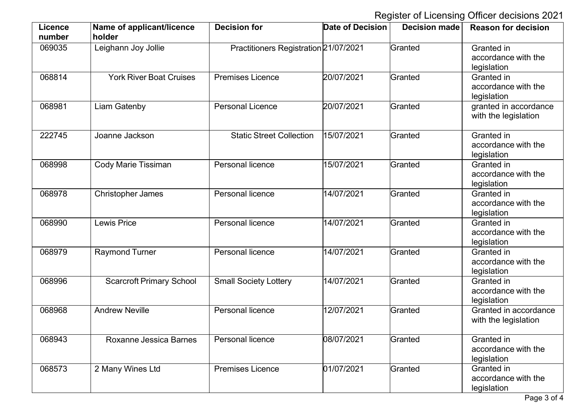Register of Licensing Officer decisions 2021

| <b>Licence</b><br>number | Name of applicant/licence<br>holder | <b>Decision for</b>                   | <b>Date of Decision</b> | <b>Decision made</b> | <b>Reason for decision</b>                       |
|--------------------------|-------------------------------------|---------------------------------------|-------------------------|----------------------|--------------------------------------------------|
| 069035                   | Leighann Joy Jollie                 | Practitioners Registration 21/07/2021 |                         | Granted              | Granted in<br>accordance with the<br>legislation |
| 068814                   | <b>York River Boat Cruises</b>      | <b>Premises Licence</b>               | 20/07/2021              | Granted              | Granted in<br>accordance with the<br>legislation |
| 068981                   | <b>Liam Gatenby</b>                 | <b>Personal Licence</b>               | 20/07/2021              | Granted              | granted in accordance<br>with the legislation    |
| 222745                   | Joanne Jackson                      | <b>Static Street Collection</b>       | 15/07/2021              | Granted              | Granted in<br>accordance with the<br>legislation |
| 068998                   | <b>Cody Marie Tissiman</b>          | <b>Personal licence</b>               | 15/07/2021              | Granted              | Granted in<br>accordance with the<br>legislation |
| 068978                   | <b>Christopher James</b>            | Personal licence                      | 14/07/2021              | Granted              | Granted in<br>accordance with the<br>legislation |
| 068990                   | Lewis Price                         | Personal licence                      | 14/07/2021              | Granted              | Granted in<br>accordance with the<br>legislation |
| 068979                   | <b>Raymond Turner</b>               | Personal licence                      | 14/07/2021              | Granted              | Granted in<br>accordance with the<br>legislation |
| 068996                   | <b>Scarcroft Primary School</b>     | <b>Small Society Lottery</b>          | 14/07/2021              | Granted              | Granted in<br>accordance with the<br>legislation |
| 068968                   | <b>Andrew Neville</b>               | Personal licence                      | 12/07/2021              | Granted              | Granted in accordance<br>with the legislation    |
| 068943                   | Roxanne Jessica Barnes              | Personal licence                      | 08/07/2021              | Granted              | Granted in<br>accordance with the<br>legislation |
| 068573                   | 2 Many Wines Ltd                    | <b>Premises Licence</b>               | 01/07/2021              | Granted              | Granted in<br>accordance with the<br>legislation |